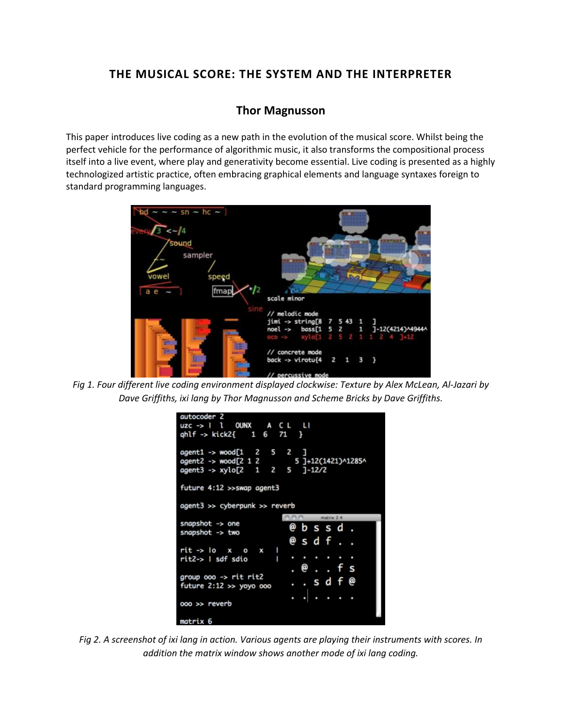# **THE MUSICAL SCORE: THE SYSTEM AND THE INTERPRETER**

# **[Thor Magnusson](http://isea2011.sabanciuniv.edu/-277.html)**

This paper introduces live coding as a new path in the evolution of the musical score. Whilst being the perfect vehicle for the performance of algorithmic music, it also transforms the compositional process itself into a live event, where play and generativity become essential. Live coding is presented as a highly technologized artistic practice, often embracing graphical elements and language syntaxes foreign to standard programming languages.



*Fig 1. Four different live coding environment displayed clockwise: Texture by Alex McLean, Al-Jazari by Dave Griffiths, ixi lang by Thor Magnusson and Scheme Bricks by Dave Griffiths.*

| autocoder 2                                                                                                          |                    |
|----------------------------------------------------------------------------------------------------------------------|--------------------|
| uzc->   1 OUNX A CL LI                                                                                               |                    |
| $gh1f \rightarrow kick2f \quad 1 \quad 6 \quad 71 \quad$                                                             |                    |
| $agent1 \rightarrow wood[1 \quad 2 \quad 5 \quad 2 \quad ]$<br>agent2 -> wood[2 1 2<br>agent3 -> xylo[2 1 2 5 ]-12/2 | 5 ]+12(1421)^1285^ |
| future 4:12 >>swap agent3                                                                                            |                    |
| agent3 >> cyberpunk >> reverb                                                                                        |                    |
|                                                                                                                      | $100$ matrix $24$  |
| snapshot $\rightarrow$ one<br>snapshot -> two                                                                        | @ b s s d .        |
|                                                                                                                      | @sdf               |
| rit -> loxox l                                                                                                       |                    |
| п<br>rit2->   sdf sdio                                                                                               | .                  |
|                                                                                                                      | . @ f s            |
| group $oo \rightarrow$ rit rit2                                                                                      | sdf@               |
| future $2:12 \gg y$ oyo ooo                                                                                          |                    |
|                                                                                                                      | .                  |
| 000 >> reverb                                                                                                        |                    |

*Fig 2. A screenshot of ixi lang in action. Various agents are playing their instruments with scores. In addition the matrix window shows another mode of ixi lang coding.*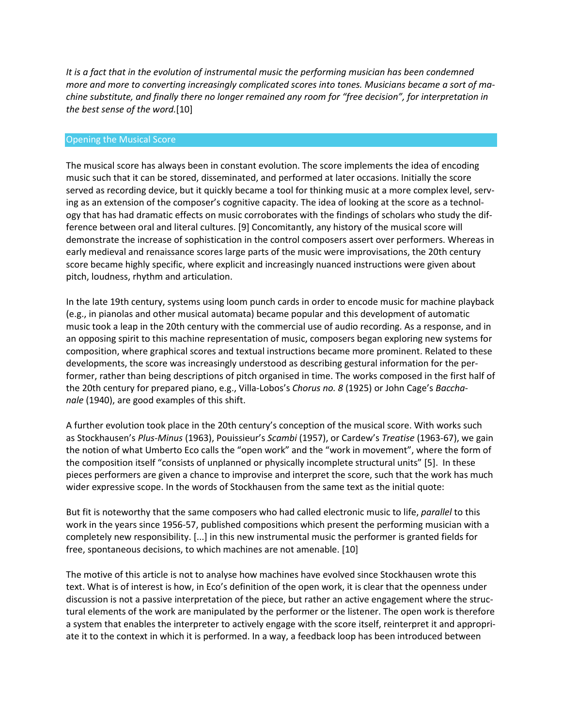*It is a fact that in the evolution of instrumental music the performing musician has been condemned more and more to converting increasingly complicated scores into tones. Musicians became a sort of machine substitute, and finally there no longer remained any room for "free decision", for interpretation in the best sense of the word.*[10]

#### Opening the Musical Score

The musical score has always been in constant evolution. The score implements the idea of encoding music such that it can be stored, disseminated, and performed at later occasions. Initially the score served as recording device, but it quickly became a tool for thinking music at a more complex level, serving as an extension of the composer's cognitive capacity. The idea of looking at the score as a technology that has had dramatic effects on music corroborates with the findings of scholars who study the difference between oral and literal cultures. [9] Concomitantly, any history of the musical score will demonstrate the increase of sophistication in the control composers assert over performers. Whereas in early medieval and renaissance scores large parts of the music were improvisations, the 20th century score became highly specific, where explicit and increasingly nuanced instructions were given about pitch, loudness, rhythm and articulation.

In the late 19th century, systems using loom punch cards in order to encode music for machine playback (e.g., in pianolas and other musical automata) became popular and this development of automatic music took a leap in the 20th century with the commercial use of audio recording. As a response, and in an opposing spirit to this machine representation of music, composers began exploring new systems for composition, where graphical scores and textual instructions became more prominent. Related to these developments, the score was increasingly understood as describing gestural information for the performer, rather than being descriptions of pitch organised in time. The works composed in the first half of the 20th century for prepared piano, e.g., Villa-Lobos's *Chorus no. 8* (1925) or John Cage's *Bacchanale* (1940), are good examples of this shift.

A further evolution took place in the 20th century's conception of the musical score. With works such as Stockhausen's *Plus-Minus* (1963), Pouissieur's *Scambi* (1957), or Cardew's *Treatise* (1963-67), we gain the notion of what Umberto Eco calls the "open work" and the "work in movement", where the form of the composition itself "consists of unplanned or physically incomplete structural units" [5]. In these pieces performers are given a chance to improvise and interpret the score, such that the work has much wider expressive scope. In the words of Stockhausen from the same text as the initial quote:

But fit is noteworthy that the same composers who had called electronic music to life, *parallel* to this work in the years since 1956-57, published compositions which present the performing musician with a completely new responsibility. [...] in this new instrumental music the performer is granted fields for free, spontaneous decisions, to which machines are not amenable. [10]

The motive of this article is not to analyse how machines have evolved since Stockhausen wrote this text. What is of interest is how, in Eco's definition of the open work, it is clear that the openness under discussion is not a passive interpretation of the piece, but rather an active engagement where the structural elements of the work are manipulated by the performer or the listener. The open work is therefore a system that enables the interpreter to actively engage with the score itself, reinterpret it and appropriate it to the context in which it is performed. In a way, a feedback loop has been introduced between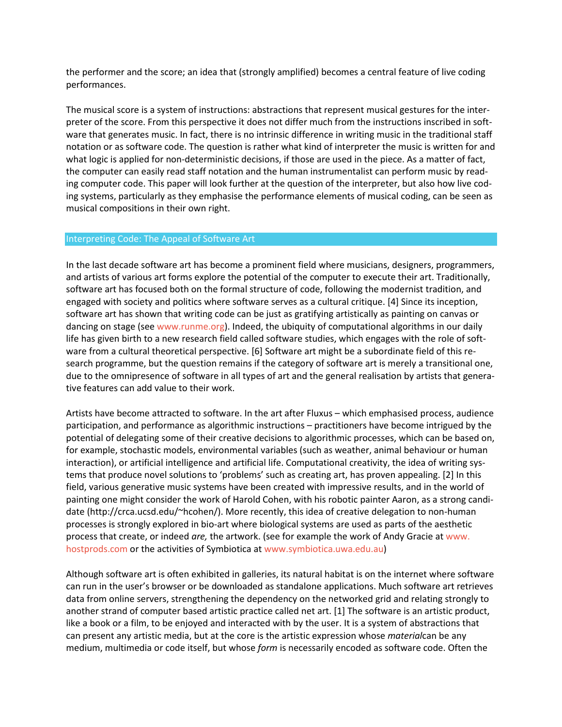the performer and the score; an idea that (strongly amplified) becomes a central feature of live coding performances.

The musical score is a system of instructions: abstractions that represent musical gestures for the interpreter of the score. From this perspective it does not differ much from the instructions inscribed in software that generates music. In fact, there is no intrinsic difference in writing music in the traditional staff notation or as software code. The question is rather what kind of interpreter the music is written for and what logic is applied for non-deterministic decisions, if those are used in the piece. As a matter of fact, the computer can easily read staff notation and the human instrumentalist can perform music by reading computer code. This paper will look further at the question of the interpreter, but also how live coding systems, particularly as they emphasise the performance elements of musical coding, can be seen as musical compositions in their own right.

## Interpreting Code: The Appeal of Software Art

In the last decade software art has become a prominent field where musicians, designers, programmers, and artists of various art forms explore the potential of the computer to execute their art. Traditionally, software art has focused both on the formal structure of code, following the modernist tradition, and engaged with society and politics where software serves as a cultural critique. [4] Since its inception, software art has shown that writing code can be just as gratifying artistically as painting on canvas or dancing on stage (see [www.runme.org\)](http://www.runme.org/). Indeed, the ubiquity of computational algorithms in our daily life has given birth to a new research field called software studies, which engages with the role of software from a cultural theoretical perspective. [6] Software art might be a subordinate field of this research programme, but the question remains if the category of software art is merely a transitional one, due to the omnipresence of software in all types of art and the general realisation by artists that generative features can add value to their work.

Artists have become attracted to software. In the art after Fluxus – which emphasised process, audience participation, and performance as algorithmic instructions – practitioners have become intrigued by the potential of delegating some of their creative decisions to algorithmic processes, which can be based on, for example, stochastic models, environmental variables (such as weather, animal behaviour or human interaction), or artificial intelligence and artificial life. Computational creativity, the idea of writing systems that produce novel solutions to 'problems' such as creating art, has proven appealing. [2] In this field, various generative music systems have been created with impressive results, and in the world of painting one might consider the work of Harold Cohen, with his robotic painter Aaron, as a strong candidate (http://crca.ucsd.edu/~hcohen/). More recently, this idea of creative delegation to non-human processes is strongly explored in bio-art where biological systems are used as parts of the aesthetic process that create, or indeed *are,* the artwork. (see for example the work of Andy Gracie at [www.](http://www.hostprods.com/) [hostprods.com](http://www.hostprods.com/) or the activities of Symbiotica at [www.symbiotica.uwa.edu.au\)](http://www.symbiotica.uwa.edu.au/)

Although software art is often exhibited in galleries, its natural habitat is on the internet where software can run in the user's browser or be downloaded as standalone applications. Much software art retrieves data from online servers, strengthening the dependency on the networked grid and relating strongly to another strand of computer based artistic practice called net art. [1] The software is an artistic product, like a book or a film, to be enjoyed and interacted with by the user. It is a system of abstractions that can present any artistic media, but at the core is the artistic expression whose *material*can be any medium, multimedia or code itself, but whose *form* is necessarily encoded as software code. Often the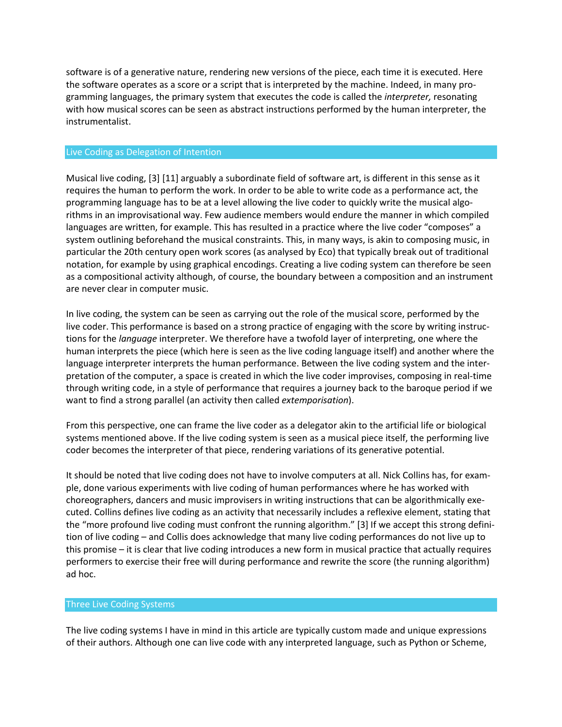software is of a generative nature, rendering new versions of the piece, each time it is executed. Here the software operates as a score or a script that is interpreted by the machine. Indeed, in many programming languages, the primary system that executes the code is called the *interpreter,* resonating with how musical scores can be seen as abstract instructions performed by the human interpreter, the instrumentalist.

#### Live Coding as Delegation of Intention

Musical live coding, [3] [11] arguably a subordinate field of software art, is different in this sense as it requires the human to perform the work. In order to be able to write code as a performance act, the programming language has to be at a level allowing the live coder to quickly write the musical algorithms in an improvisational way. Few audience members would endure the manner in which compiled languages are written, for example. This has resulted in a practice where the live coder "composes" a system outlining beforehand the musical constraints. This, in many ways, is akin to composing music, in particular the 20th century open work scores (as analysed by Eco) that typically break out of traditional notation, for example by using graphical encodings. Creating a live coding system can therefore be seen as a compositional activity although, of course, the boundary between a composition and an instrument are never clear in computer music.

In live coding, the system can be seen as carrying out the role of the musical score, performed by the live coder. This performance is based on a strong practice of engaging with the score by writing instructions for the *language* interpreter. We therefore have a twofold layer of interpreting, one where the human interprets the piece (which here is seen as the live coding language itself) and another where the language interpreter interprets the human performance. Between the live coding system and the interpretation of the computer, a space is created in which the live coder improvises, composing in real-time through writing code, in a style of performance that requires a journey back to the baroque period if we want to find a strong parallel (an activity then called *extemporisation*).

From this perspective, one can frame the live coder as a delegator akin to the artificial life or biological systems mentioned above. If the live coding system is seen as a musical piece itself, the performing live coder becomes the interpreter of that piece, rendering variations of its generative potential.

It should be noted that live coding does not have to involve computers at all. Nick Collins has, for example, done various experiments with live coding of human performances where he has worked with choreographers, dancers and music improvisers in writing instructions that can be algorithmically executed. Collins defines live coding as an activity that necessarily includes a reflexive element, stating that the "more profound live coding must confront the running algorithm." [3] If we accept this strong definition of live coding – and Collis does acknowledge that many live coding performances do not live up to this promise – it is clear that live coding introduces a new form in musical practice that actually requires performers to exercise their free will during performance and rewrite the score (the running algorithm) ad hoc.

#### Three Live Coding Systems

The live coding systems I have in mind in this article are typically custom made and unique expressions of their authors. Although one can live code with any interpreted language, such as Python or Scheme,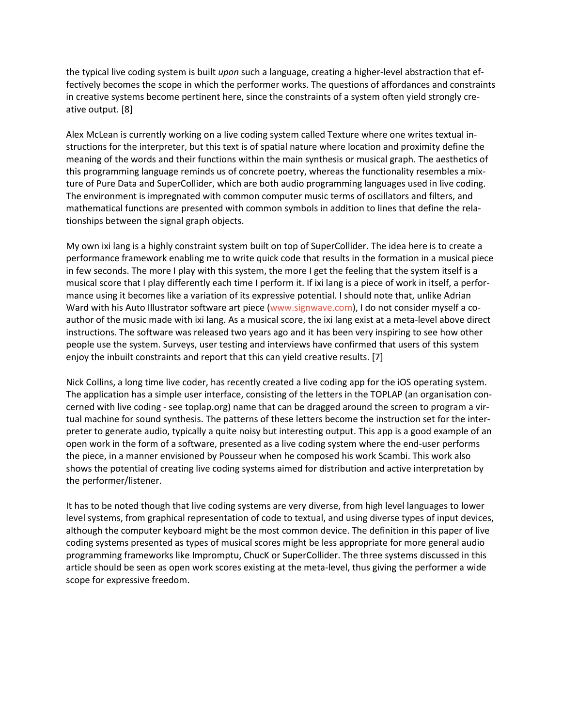the typical live coding system is built *upon* such a language, creating a higher-level abstraction that effectively becomes the scope in which the performer works. The questions of affordances and constraints in creative systems become pertinent here, since the constraints of a system often yield strongly creative output. [8]

Alex McLean is currently working on a live coding system called Texture where one writes textual instructions for the interpreter, but this text is of spatial nature where location and proximity define the meaning of the words and their functions within the main synthesis or musical graph. The aesthetics of this programming language reminds us of concrete poetry, whereas the functionality resembles a mixture of Pure Data and SuperCollider, which are both audio programming languages used in live coding. The environment is impregnated with common computer music terms of oscillators and filters, and mathematical functions are presented with common symbols in addition to lines that define the relationships between the signal graph objects.

My own ixi lang is a highly constraint system built on top of SuperCollider. The idea here is to create a performance framework enabling me to write quick code that results in the formation in a musical piece in few seconds. The more I play with this system, the more I get the feeling that the system itself is a musical score that I play differently each time I perform it. If ixi lang is a piece of work in itself, a performance using it becomes like a variation of its expressive potential. I should note that, unlike Adrian Ward with his Auto Illustrator software art piece [\(www.signwave.com\)](http://www.signwave.com/), I do not consider myself a coauthor of the music made with ixi lang. As a musical score, the ixi lang exist at a meta-level above direct instructions. The software was released two years ago and it has been very inspiring to see how other people use the system. Surveys, user testing and interviews have confirmed that users of this system enjoy the inbuilt constraints and report that this can yield creative results. [7]

Nick Collins, a long time live coder, has recently created a live coding app for the iOS operating system. The application has a simple user interface, consisting of the letters in the TOPLAP (an organisation concerned with live coding - see toplap.org) name that can be dragged around the screen to program a virtual machine for sound synthesis. The patterns of these letters become the instruction set for the interpreter to generate audio, typically a quite noisy but interesting output. This app is a good example of an open work in the form of a software, presented as a live coding system where the end-user performs the piece, in a manner envisioned by Pousseur when he composed his work Scambi. This work also shows the potential of creating live coding systems aimed for distribution and active interpretation by the performer/listener.

It has to be noted though that live coding systems are very diverse, from high level languages to lower level systems, from graphical representation of code to textual, and using diverse types of input devices, although the computer keyboard might be the most common device. The definition in this paper of live coding systems presented as types of musical scores might be less appropriate for more general audio programming frameworks like Impromptu, ChucK or SuperCollider. The three systems discussed in this article should be seen as open work scores existing at the meta-level, thus giving the performer a wide scope for expressive freedom.